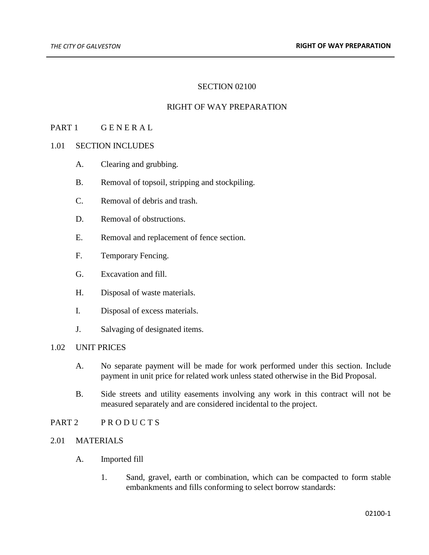## SECTION 02100

#### RIGHT OF WAY PREPARATION

# PART 1 GENERAL

#### 1.01 SECTION INCLUDES

- A. Clearing and grubbing.
- B. Removal of topsoil, stripping and stockpiling.
- C. Removal of debris and trash.
- D. Removal of obstructions.
- E. Removal and replacement of fence section.
- F. Temporary Fencing.
- G. Excavation and fill.
- H. Disposal of waste materials.
- I. Disposal of excess materials.
- J. Salvaging of designated items.

# 1.02 UNIT PRICES

- A. No separate payment will be made for work performed under this section. Include payment in unit price for related work unless stated otherwise in the Bid Proposal.
- B. Side streets and utility easements involving any work in this contract will not be measured separately and are considered incidental to the project.
- PART 2 PRODUCTS

# 2.01 MATERIALS

- A. Imported fill
	- 1. Sand, gravel, earth or combination, which can be compacted to form stable embankments and fills conforming to select borrow standards: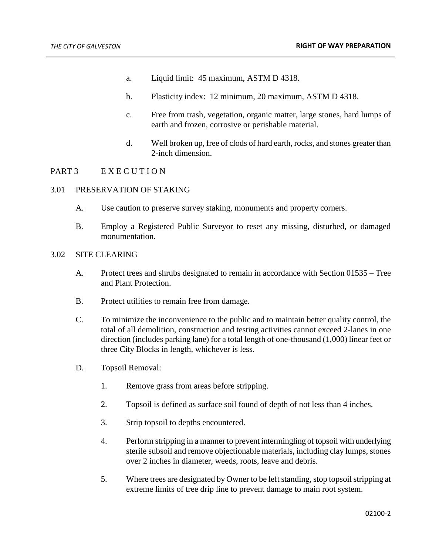- a. Liquid limit: 45 maximum, ASTM D 4318.
- b. Plasticity index: 12 minimum, 20 maximum, ASTM D 4318.
- c. Free from trash, vegetation, organic matter, large stones, hard lumps of earth and frozen, corrosive or perishable material.
- d. Well broken up, free of clods of hard earth, rocks, and stones greater than 2-inch dimension.

## PART 3 EXECUTION

#### 3.01 PRESERVATION OF STAKING

- A. Use caution to preserve survey staking, monuments and property corners.
- B. Employ a Registered Public Surveyor to reset any missing, disturbed, or damaged monumentation.

#### 3.02 SITE CLEARING

- A. Protect trees and shrubs designated to remain in accordance with Section 01535 Tree and Plant Protection.
- B. Protect utilities to remain free from damage.
- C. To minimize the inconvenience to the public and to maintain better quality control, the total of all demolition, construction and testing activities cannot exceed 2-lanes in one direction (includes parking lane) for a total length of one-thousand (1,000) linear feet or three City Blocks in length, whichever is less.
- D. Topsoil Removal:
	- 1. Remove grass from areas before stripping.
	- 2. Topsoil is defined as surface soil found of depth of not less than 4 inches.
	- 3. Strip topsoil to depths encountered.
	- 4. Perform stripping in a manner to prevent intermingling of topsoil with underlying sterile subsoil and remove objectionable materials, including clay lumps, stones over 2 inches in diameter, weeds, roots, leave and debris.
	- 5. Where trees are designated by Owner to be left standing, stop topsoil stripping at extreme limits of tree drip line to prevent damage to main root system.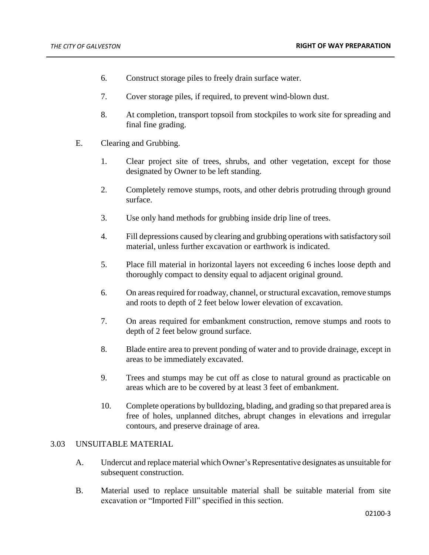- 6. Construct storage piles to freely drain surface water.
- 7. Cover storage piles, if required, to prevent wind-blown dust.
- 8. At completion, transport topsoil from stockpiles to work site for spreading and final fine grading.
- E. Clearing and Grubbing.
	- 1. Clear project site of trees, shrubs, and other vegetation, except for those designated by Owner to be left standing.
	- 2. Completely remove stumps, roots, and other debris protruding through ground surface.
	- 3. Use only hand methods for grubbing inside drip line of trees.
	- 4. Fill depressions caused by clearing and grubbing operations with satisfactory soil material, unless further excavation or earthwork is indicated.
	- 5. Place fill material in horizontal layers not exceeding 6 inches loose depth and thoroughly compact to density equal to adjacent original ground.
	- 6. On areas required for roadway, channel, or structural excavation, remove stumps and roots to depth of 2 feet below lower elevation of excavation.
	- 7. On areas required for embankment construction, remove stumps and roots to depth of 2 feet below ground surface.
	- 8. Blade entire area to prevent ponding of water and to provide drainage, except in areas to be immediately excavated.
	- 9. Trees and stumps may be cut off as close to natural ground as practicable on areas which are to be covered by at least 3 feet of embankment.
	- 10. Complete operations by bulldozing, blading, and grading so that prepared area is free of holes, unplanned ditches, abrupt changes in elevations and irregular contours, and preserve drainage of area.

## 3.03 UNSUITABLE MATERIAL

- A. Undercut and replace material which Owner's Representative designates as unsuitable for subsequent construction.
- B. Material used to replace unsuitable material shall be suitable material from site excavation or "Imported Fill" specified in this section.